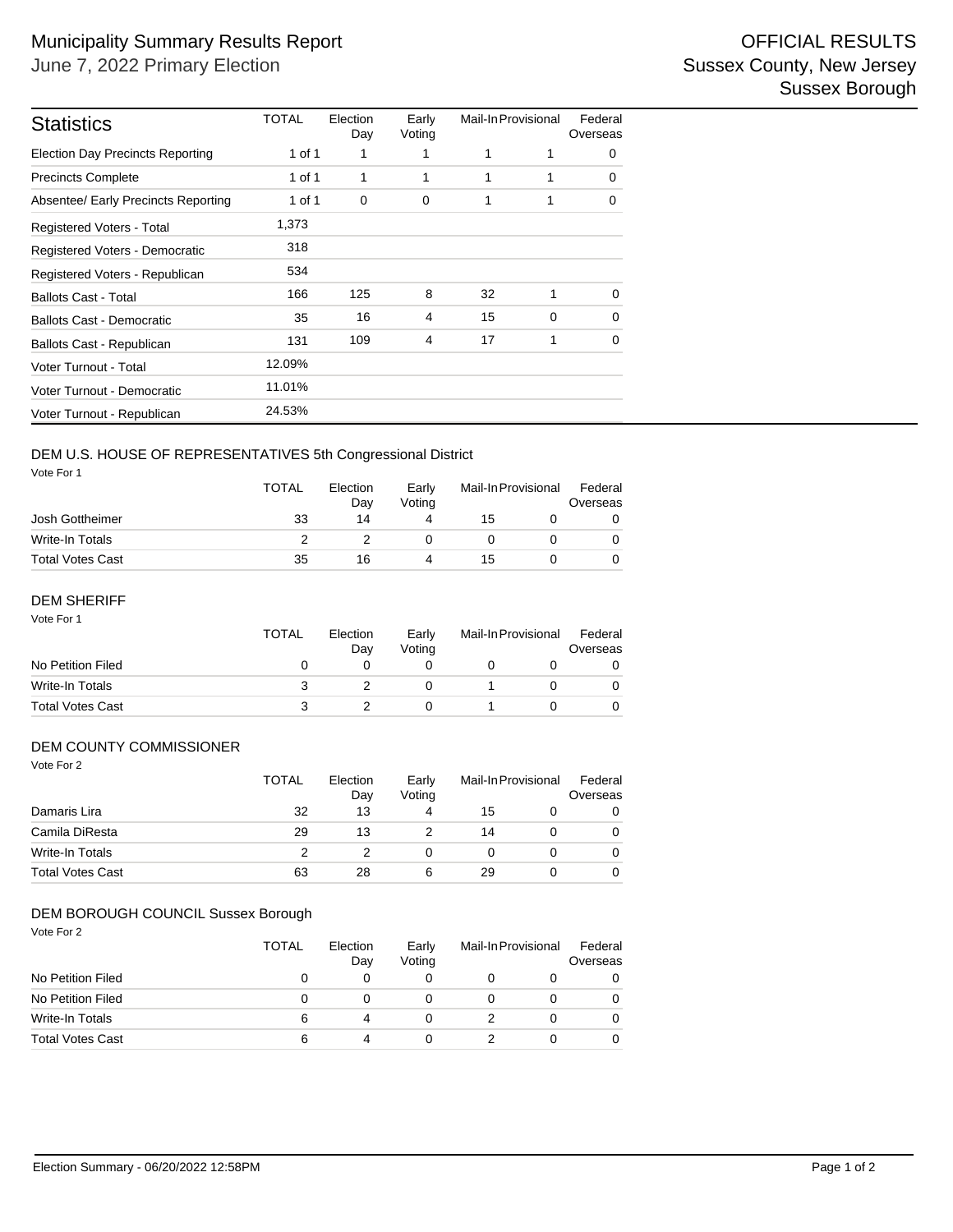| <b>Statistics</b>                       | <b>TOTAL</b> | Election<br>Day | Early<br>Voting | Mail-In Provisional |   | Federal<br>Overseas |
|-----------------------------------------|--------------|-----------------|-----------------|---------------------|---|---------------------|
| <b>Election Day Precincts Reporting</b> | 1 of 1       | 1               |                 | 1                   | 1 | 0                   |
| <b>Precincts Complete</b>               | 1 of 1       | 1               | 1               | 1                   | 1 | 0                   |
| Absentee/ Early Precincts Reporting     | 1 of 1       | $\mathbf 0$     | 0               | 1                   | 1 | 0                   |
| Registered Voters - Total               | 1,373        |                 |                 |                     |   |                     |
| Registered Voters - Democratic          | 318          |                 |                 |                     |   |                     |
| Registered Voters - Republican          | 534          |                 |                 |                     |   |                     |
| <b>Ballots Cast - Total</b>             | 166          | 125             | 8               | 32                  | 1 | $\Omega$            |
| <b>Ballots Cast - Democratic</b>        | 35           | 16              | 4               | 15                  | 0 | 0                   |
| Ballots Cast - Republican               | 131          | 109             | 4               | 17                  | 1 | 0                   |
| Voter Turnout - Total                   | 12.09%       |                 |                 |                     |   |                     |
| Voter Turnout - Democratic              | 11.01%       |                 |                 |                     |   |                     |
| Voter Turnout - Republican              | 24.53%       |                 |                 |                     |   |                     |

## DEM U.S. HOUSE OF REPRESENTATIVES 5th Congressional District

Vote For 1

|                         | <b>TOTAL</b> | Election<br>Dav<br>14 | Early<br>Votina | Mail-In Provisional |  | Federal<br>Overseas |  |
|-------------------------|--------------|-----------------------|-----------------|---------------------|--|---------------------|--|
| Josh Gottheimer         | 33           |                       |                 | 15                  |  |                     |  |
| Write-In Totals         |              |                       |                 |                     |  |                     |  |
| <b>Total Votes Cast</b> | 35           | 16                    |                 | 15                  |  |                     |  |

## DEM SHERIFF

| Vote For 1              | TOTAL | Election<br>Day | Early<br>Voting | Mail-In Provisional |  | Federal<br>Overseas |
|-------------------------|-------|-----------------|-----------------|---------------------|--|---------------------|
| No Petition Filed       | 0     |                 |                 |                     |  |                     |
| Write-In Totals         | 3     |                 |                 |                     |  |                     |
| <b>Total Votes Cast</b> | 3     |                 |                 |                     |  |                     |

#### DEM COUNTY COMMISSIONER

| Vote For 2              | <b>TOTAL</b> | Election<br>Day | Early<br>Voting | Mail-In Provisional |  | Federal<br>Overseas |  |
|-------------------------|--------------|-----------------|-----------------|---------------------|--|---------------------|--|
| Damaris Lira            | 32           | 13              | 4               | 15                  |  | 0                   |  |
| Camila DiResta          | 29           | 13              |                 | 14                  |  | 0                   |  |
| <b>Write-In Totals</b>  | っ            | 2               | 0               | 0                   |  | 0                   |  |
| <b>Total Votes Cast</b> | 63           | 28              | 6               | 29                  |  | 0                   |  |

### DEM BOROUGH COUNCIL Sussex Borough

Vote For 2

|                         | TOTAL | Election<br>Day | Early<br>Votina | Mail-In Provisional |  | Federal<br>Overseas |  |
|-------------------------|-------|-----------------|-----------------|---------------------|--|---------------------|--|
| No Petition Filed       |       |                 |                 |                     |  | 0                   |  |
| No Petition Filed       |       |                 |                 |                     |  | 0                   |  |
| Write-In Totals         |       |                 |                 |                     |  | $\Omega$            |  |
| <b>Total Votes Cast</b> |       |                 |                 |                     |  | 0                   |  |